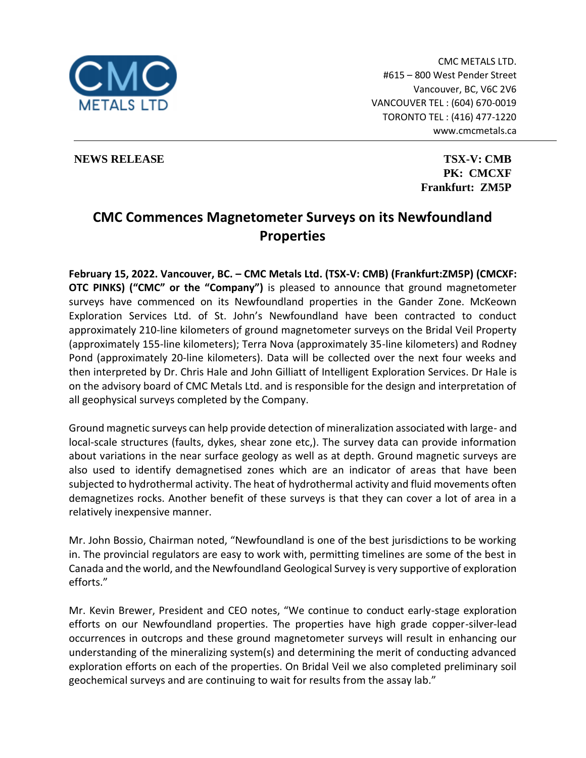

CMC METALS LTD. #615 – 800 West Pender Street Vancouver, BC, V6C 2V6 VANCOUVER TEL : (604) 670-0019 TORONTO TEL : (416) 477-1220 www.cmcmetals.ca

**NEWS RELEASE TSX-V: CMB** 

**PK: CMCXF Frankfurt: ZM5P**

# **CMC Commences Magnetometer Surveys on its Newfoundland Properties**

**February 15, 2022. Vancouver, BC. – CMC Metals Ltd. (TSX-V: CMB) (Frankfurt:ZM5P) (CMCXF: OTC PINKS) ("CMC" or the "Company")** is pleased to announce that ground magnetometer surveys have commenced on its Newfoundland properties in the Gander Zone. McKeown Exploration Services Ltd. of St. John's Newfoundland have been contracted to conduct approximately 210-line kilometers of ground magnetometer surveys on the Bridal Veil Property (approximately 155-line kilometers); Terra Nova (approximately 35-line kilometers) and Rodney Pond (approximately 20-line kilometers). Data will be collected over the next four weeks and then interpreted by Dr. Chris Hale and John Gilliatt of Intelligent Exploration Services. Dr Hale is on the advisory board of CMC Metals Ltd. and is responsible for the design and interpretation of all geophysical surveys completed by the Company.

Ground magnetic surveys can help provide detection of mineralization associated with large- and local-scale structures (faults, dykes, shear zone etc,). The survey data can provide information about variations in the near surface geology as well as at depth. Ground magnetic surveys are also used to identify demagnetised zones which are an indicator of areas that have been subjected to hydrothermal activity. The heat of hydrothermal activity and fluid movements often demagnetizes rocks. Another benefit of these surveys is that they can cover a lot of area in a relatively inexpensive manner.

Mr. John Bossio, Chairman noted, "Newfoundland is one of the best jurisdictions to be working in. The provincial regulators are easy to work with, permitting timelines are some of the best in Canada and the world, and the Newfoundland Geological Survey is very supportive of exploration efforts."

Mr. Kevin Brewer, President and CEO notes, "We continue to conduct early-stage exploration efforts on our Newfoundland properties. The properties have high grade copper-silver-lead occurrences in outcrops and these ground magnetometer surveys will result in enhancing our understanding of the mineralizing system(s) and determining the merit of conducting advanced exploration efforts on each of the properties. On Bridal Veil we also completed preliminary soil geochemical surveys and are continuing to wait for results from the assay lab."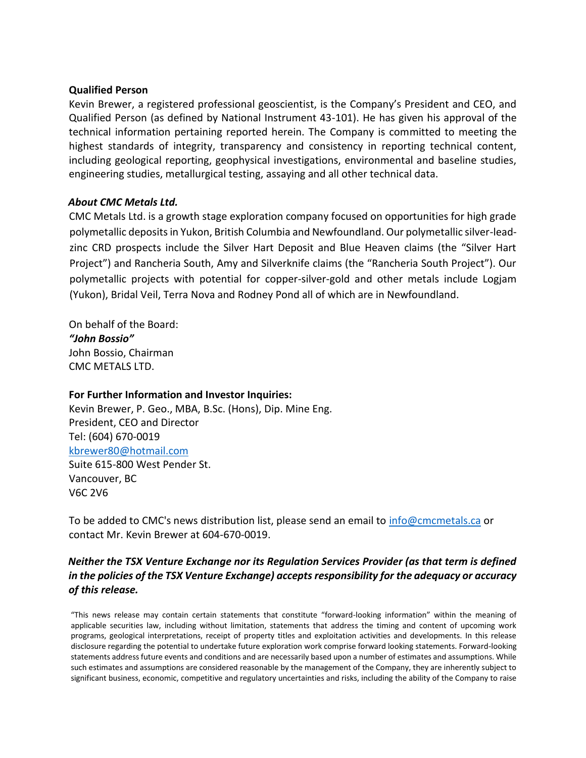#### **Qualified Person**

Kevin Brewer, a registered professional geoscientist, is the Company's President and CEO, and Qualified Person (as defined by National Instrument 43-101). He has given his approval of the technical information pertaining reported herein. The Company is committed to meeting the highest standards of integrity, transparency and consistency in reporting technical content, including geological reporting, geophysical investigations, environmental and baseline studies, engineering studies, metallurgical testing, assaying and all other technical data.

### *About CMC Metals Ltd.*

CMC Metals Ltd. is a growth stage exploration company focused on opportunities for high grade polymetallic deposits in Yukon, British Columbia and Newfoundland. Our polymetallic silver-leadzinc CRD prospects include the Silver Hart Deposit and Blue Heaven claims (the "Silver Hart Project") and Rancheria South, Amy and Silverknife claims (the "Rancheria South Project"). Our polymetallic projects with potential for copper-silver-gold and other metals include Logjam (Yukon), Bridal Veil, Terra Nova and Rodney Pond all of which are in Newfoundland.

On behalf of the Board: *"John Bossio"* John Bossio, Chairman CMC METALS LTD.

#### **For Further Information and Investor Inquiries:**

Kevin Brewer, P. Geo., MBA, B.Sc. (Hons), Dip. Mine Eng. President, CEO and Director Tel: (604) 670-0019 kbrewer80@hotmail.com Suite 615-800 West Pender St. Vancouver, BC V6C 2V6

To be added to CMC's news distribution list, please send an email to info@cmcmetals.ca or contact Mr. Kevin Brewer at 604-670-0019.

## *Neither the TSX Venture Exchange nor its Regulation Services Provider (as that term is defined in the policies of the TSX Venture Exchange) accepts responsibility for the adequacy or accuracy of this release.*

"This news release may contain certain statements that constitute "forward-looking information" within the meaning of applicable securities law, including without limitation, statements that address the timing and content of upcoming work programs, geological interpretations, receipt of property titles and exploitation activities and developments. In this release disclosure regarding the potential to undertake future exploration work comprise forward looking statements. Forward-looking statements address future events and conditions and are necessarily based upon a number of estimates and assumptions. While such estimates and assumptions are considered reasonable by the management of the Company, they are inherently subject to significant business, economic, competitive and regulatory uncertainties and risks, including the ability of the Company to raise